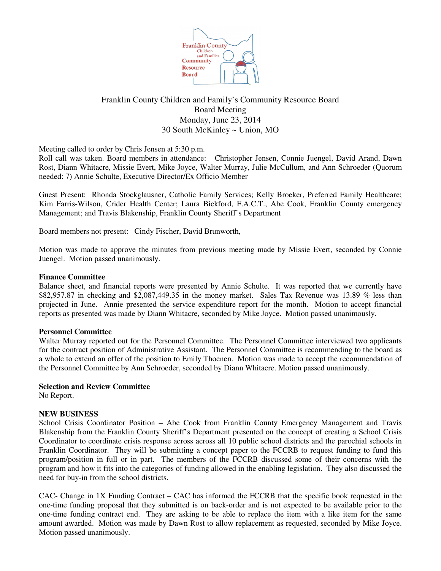

# Franklin County Children and Family's Community Resource Board Board Meeting Monday, June 23, 2014 30 South McKinley ~ Union, MO

Meeting called to order by Chris Jensen at 5:30 p.m.

Roll call was taken. Board members in attendance: Christopher Jensen, Connie Juengel, David Arand, Dawn Rost, Diann Whitacre, Missie Evert, Mike Joyce, Walter Murray, Julie McCullum, and Ann Schroeder (Quorum needed: 7) Annie Schulte, Executive Director/Ex Officio Member

Guest Present: Rhonda Stockglausner, Catholic Family Services; Kelly Broeker, Preferred Family Healthcare; Kim Farris-Wilson, Crider Health Center; Laura Bickford, F.A.C.T., Abe Cook, Franklin County emergency Management; and Travis Blakenship, Franklin County Sheriff's Department

Board members not present: Cindy Fischer, David Brunworth,

Motion was made to approve the minutes from previous meeting made by Missie Evert, seconded by Connie Juengel. Motion passed unanimously.

## **Finance Committee**

Balance sheet, and financial reports were presented by Annie Schulte. It was reported that we currently have \$82,957.87 in checking and \$2,087,449.35 in the money market. Sales Tax Revenue was 13.89 % less than projected in June. Annie presented the service expenditure report for the month. Motion to accept financial reports as presented was made by Diann Whitacre, seconded by Mike Joyce. Motion passed unanimously.

## **Personnel Committee**

Walter Murray reported out for the Personnel Committee. The Personnel Committee interviewed two applicants for the contract position of Administrative Assistant. The Personnel Committee is recommending to the board as a whole to extend an offer of the position to Emily Thoenen. Motion was made to accept the recommendation of the Personnel Committee by Ann Schroeder, seconded by Diann Whitacre. Motion passed unanimously.

### **Selection and Review Committee**

No Report.

# **NEW BUSINESS**

School Crisis Coordinator Position – Abe Cook from Franklin County Emergency Management and Travis Blakenship from the Franklin County Sheriff's Department presented on the concept of creating a School Crisis Coordinator to coordinate crisis response across across all 10 public school districts and the parochial schools in Franklin Coordinator. They will be submitting a concept paper to the FCCRB to request funding to fund this program/position in full or in part. The members of the FCCRB discussed some of their concerns with the program and how it fits into the categories of funding allowed in the enabling legislation. They also discussed the need for buy-in from the school districts.

CAC- Change in 1X Funding Contract – CAC has informed the FCCRB that the specific book requested in the one-time funding proposal that they submitted is on back-order and is not expected to be available prior to the one-time funding contract end. They are asking to be able to replace the item with a like item for the same amount awarded. Motion was made by Dawn Rost to allow replacement as requested, seconded by Mike Joyce. Motion passed unanimously.